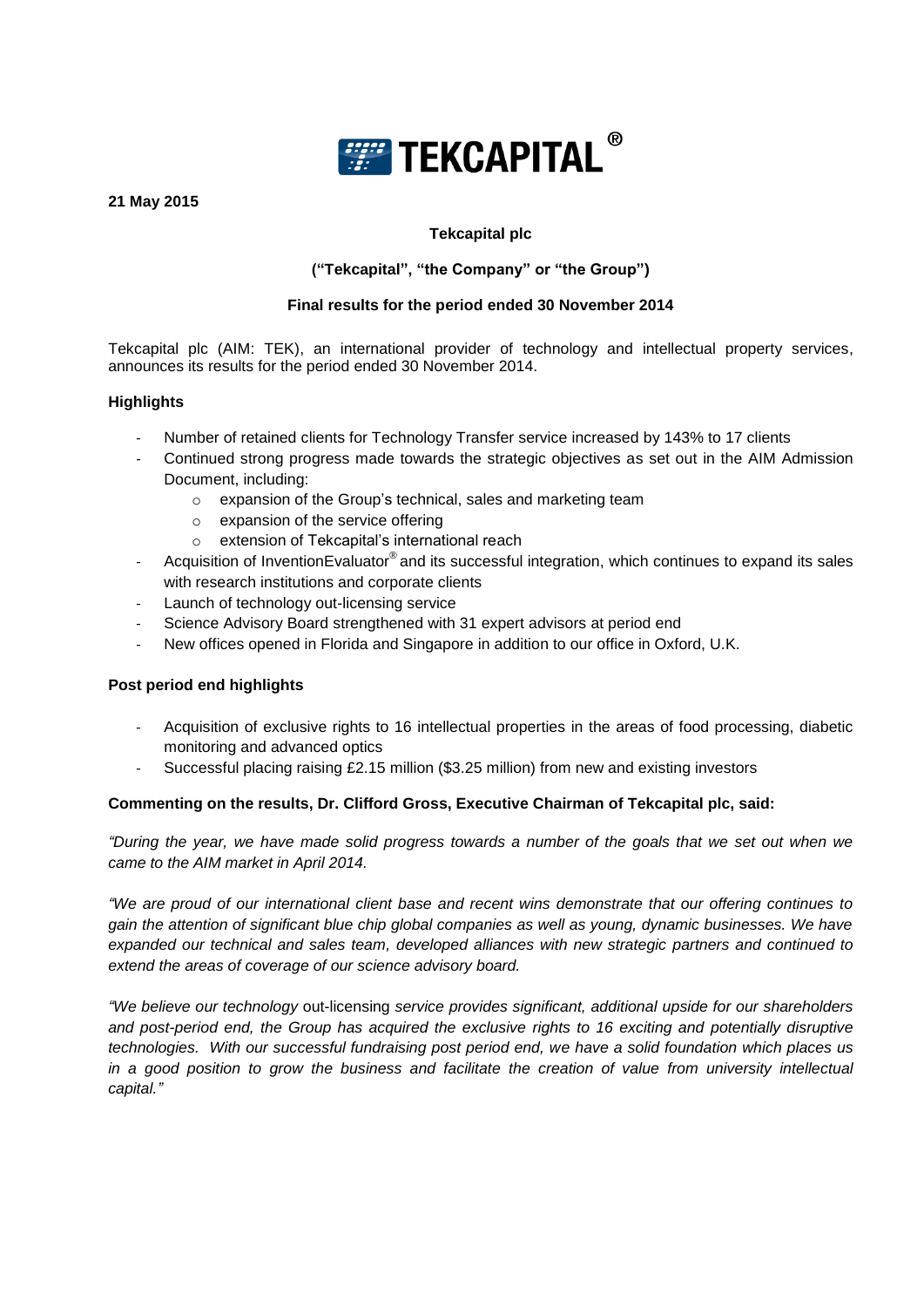

# **21 May 2015**

# **Tekcapital plc**

# **("Tekcapital", "the Company" or "the Group")**

# **Final results for the period ended 30 November 2014**

Tekcapital plc (AIM: TEK), an international provider of technology and intellectual property services, announces its results for the period ended 30 November 2014.

## **Highlights**

- Number of retained clients for Technology Transfer service increased by 143% to 17 clients
- Continued strong progress made towards the strategic objectives as set out in the AIM Admission Document, including:
	- o expansion of the Group's technical, sales and marketing team
	- o expansion of the service offering
	- o extension of Tekcapital's international reach
- Acquisition of InventionEvaluator<sup>®</sup> and its successful integration, which continues to expand its sales with research institutions and corporate clients
- Launch of technology out-licensing service
- Science Advisory Board strengthened with 31 expert advisors at period end
- New offices opened in Florida and Singapore in addition to our office in Oxford, U.K.

# **Post period end highlights**

- Acquisition of exclusive rights to 16 intellectual properties in the areas of food processing, diabetic monitoring and advanced optics
- Successful placing raising £2.15 million (\$3.25 million) from new and existing investors

### **Commenting on the results, Dr. Clifford Gross, Executive Chairman of Tekcapital plc, said:**

*"During the year, we have made solid progress towards a number of the goals that we set out when we came to the AIM market in April 2014.*

*"We are proud of our international client base and recent wins demonstrate that our offering continues to gain the attention of significant blue chip global companies as well as young, dynamic businesses. We have expanded our technical and sales team, developed alliances with new strategic partners and continued to extend the areas of coverage of our science advisory board.* 

*"We believe our technology* out-licensing *service provides significant, additional upside for our shareholders and post-period end, the Group has acquired the exclusive rights to 16 exciting and potentially disruptive technologies. With our successful fundraising post period end, we have a solid foundation which places us in a good position to grow the business and facilitate the creation of value from university intellectual capital."*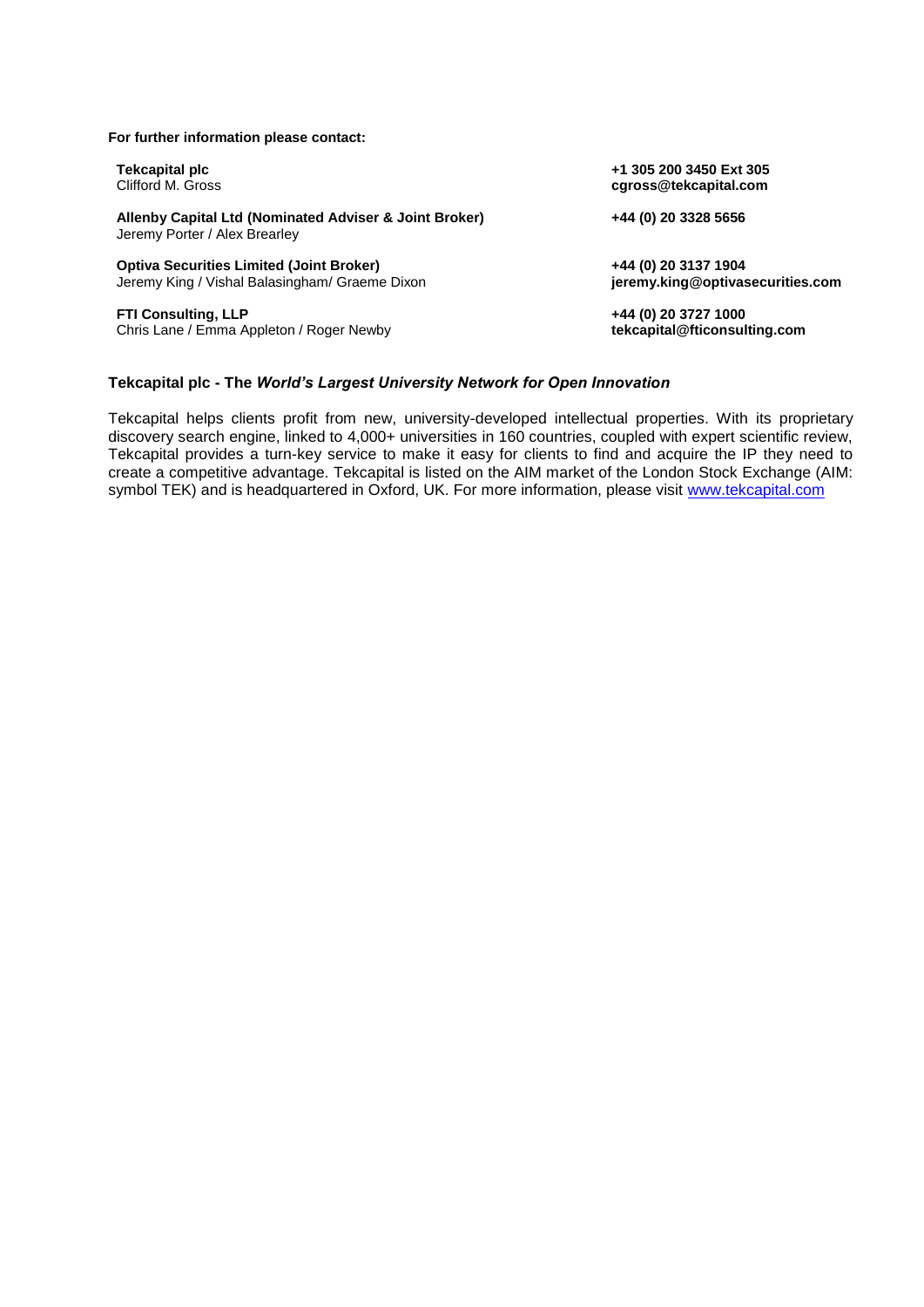#### **For further information please contact:**

| Tekcapital plc                                                                          | +1 305 200 3450 Ext 305          |
|-----------------------------------------------------------------------------------------|----------------------------------|
| Clifford M. Gross                                                                       | cgross@tekcapital.com            |
| Allenby Capital Ltd (Nominated Adviser & Joint Broker)<br>Jeremy Porter / Alex Brearley | +44 (0) 20 3328 5656             |
| <b>Optiva Securities Limited (Joint Broker)</b>                                         | +44 (0) 20 3137 1904             |
| Jeremy King / Vishal Balasingham/ Graeme Dixon                                          | jeremy.king@optivasecurities.com |
| <b>FTI Consulting, LLP</b>                                                              | +44 (0) 20 3727 1000             |
| Chris Lane / Emma Appleton / Roger Newby                                                | tekcapital@fticonsulting.com     |

### **Tekcapital plc - The** *World's Largest University Network for Open Innovation*

Tekcapital helps clients profit from new, university-developed intellectual properties. With its proprietary discovery search engine, linked to 4,000+ universities in 160 countries, coupled with expert scientific review, Tekcapital provides a turn-key service to make it easy for clients to find and acquire the IP they need to create a competitive advantage. Tekcapital is listed on the AIM market of the London Stock Exchange (AIM: symbol TEK) and is headquartered in Oxford, UK. For more information, please visit [www.tekcapital.com](http://www.tekcapital.com/)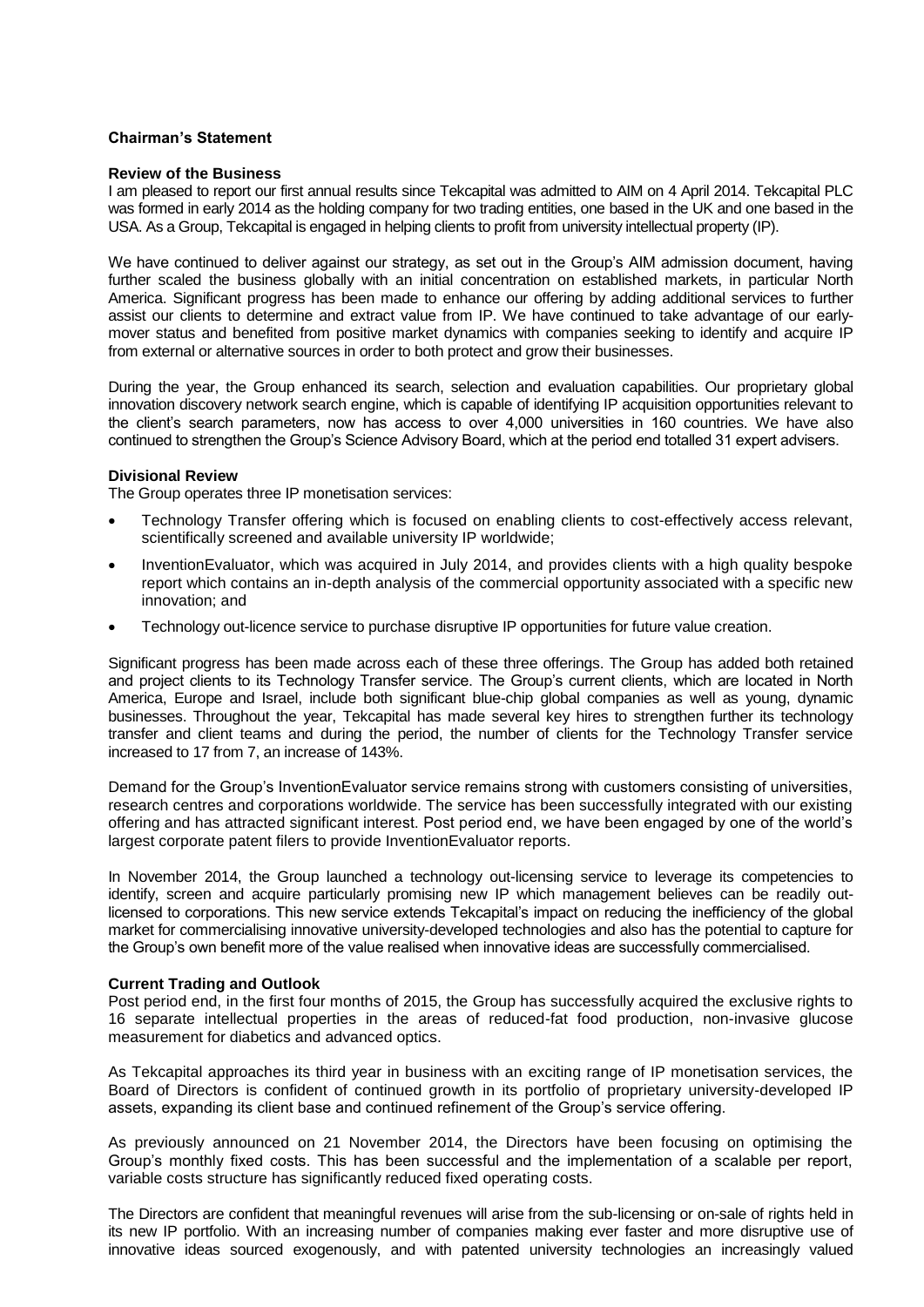#### **Chairman's Statement**

#### **Review of the Business**

I am pleased to report our first annual results since Tekcapital was admitted to AIM on 4 April 2014. Tekcapital PLC was formed in early 2014 as the holding company for two trading entities, one based in the UK and one based in the USA. As a Group, Tekcapital is engaged in helping clients to profit from university intellectual property (IP).

We have continued to deliver against our strategy, as set out in the Group's AIM admission document, having further scaled the business globally with an initial concentration on established markets, in particular North America. Significant progress has been made to enhance our offering by adding additional services to further assist our clients to determine and extract value from IP. We have continued to take advantage of our earlymover status and benefited from positive market dynamics with companies seeking to identify and acquire IP from external or alternative sources in order to both protect and grow their businesses.

During the year, the Group enhanced its search, selection and evaluation capabilities. Our proprietary global innovation discovery network search engine, which is capable of identifying IP acquisition opportunities relevant to the client's search parameters, now has access to over 4,000 universities in 160 countries. We have also continued to strengthen the Group's Science Advisory Board, which at the period end totalled 31 expert advisers.

#### **Divisional Review**

The Group operates three IP monetisation services:

- Technology Transfer offering which is focused on enabling clients to cost-effectively access relevant, scientifically screened and available university IP worldwide;
- InventionEvaluator, which was acquired in July 2014, and provides clients with a high quality bespoke report which contains an in-depth analysis of the commercial opportunity associated with a specific new innovation; and
- Technology out-licence service to purchase disruptive IP opportunities for future value creation.

Significant progress has been made across each of these three offerings. The Group has added both retained and project clients to its Technology Transfer service. The Group's current clients, which are located in North America, Europe and Israel, include both significant blue-chip global companies as well as young, dynamic businesses. Throughout the year, Tekcapital has made several key hires to strengthen further its technology transfer and client teams and during the period, the number of clients for the Technology Transfer service increased to 17 from 7, an increase of 143%.

Demand for the Group's InventionEvaluator service remains strong with customers consisting of universities, research centres and corporations worldwide. The service has been successfully integrated with our existing offering and has attracted significant interest. Post period end, we have been engaged by one of the world's largest corporate patent filers to provide InventionEvaluator reports.

In November 2014, the Group launched a technology out-licensing service to leverage its competencies to identify, screen and acquire particularly promising new IP which management believes can be readily outlicensed to corporations. This new service extends Tekcapital's impact on reducing the inefficiency of the global market for commercialising innovative university-developed technologies and also has the potential to capture for the Group's own benefit more of the value realised when innovative ideas are successfully commercialised.

#### **Current Trading and Outlook**

Post period end, in the first four months of 2015, the Group has successfully acquired the exclusive rights to 16 separate intellectual properties in the areas of reduced-fat food production, non-invasive glucose measurement for diabetics and advanced optics.

As Tekcapital approaches its third year in business with an exciting range of IP monetisation services, the Board of Directors is confident of continued growth in its portfolio of proprietary university-developed IP assets, expanding its client base and continued refinement of the Group's service offering.

As previously announced on 21 November 2014, the Directors have been focusing on optimising the Group's monthly fixed costs. This has been successful and the implementation of a scalable per report, variable costs structure has significantly reduced fixed operating costs.

The Directors are confident that meaningful revenues will arise from the sub-licensing or on-sale of rights held in its new IP portfolio. With an increasing number of companies making ever faster and more disruptive use of innovative ideas sourced exogenously, and with patented university technologies an increasingly valued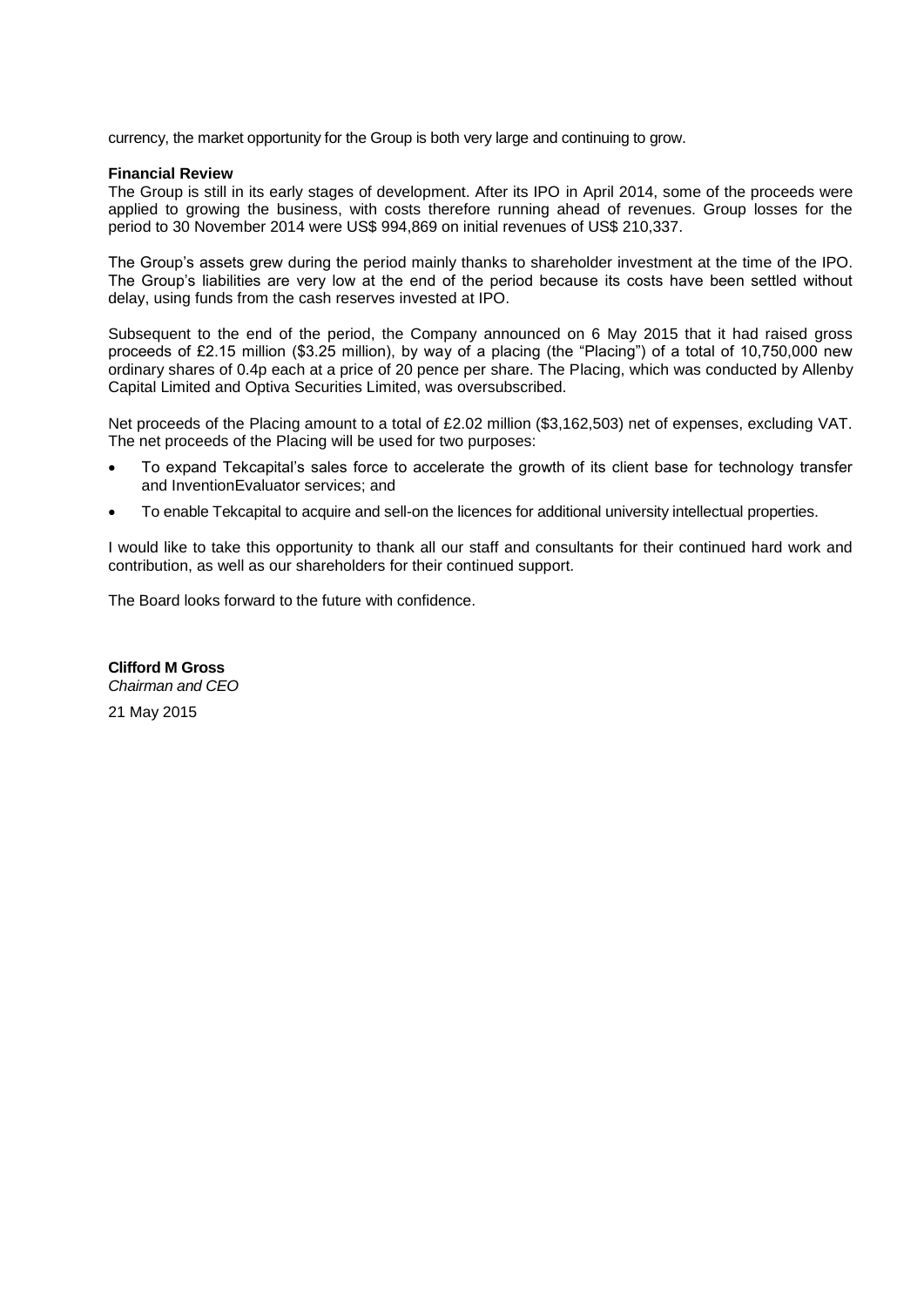currency, the market opportunity for the Group is both very large and continuing to grow.

#### **Financial Review**

The Group is still in its early stages of development. After its IPO in April 2014, some of the proceeds were applied to growing the business, with costs therefore running ahead of revenues. Group losses for the period to 30 November 2014 were US\$ 994,869 on initial revenues of US\$ 210,337.

The Group's assets grew during the period mainly thanks to shareholder investment at the time of the IPO. The Group's liabilities are very low at the end of the period because its costs have been settled without delay, using funds from the cash reserves invested at IPO.

Subsequent to the end of the period, the Company announced on 6 May 2015 that it had raised gross proceeds of £2.15 million (\$3.25 million), by way of a placing (the "Placing") of a total of 10,750,000 new ordinary shares of 0.4p each at a price of 20 pence per share. The Placing, which was conducted by Allenby Capital Limited and Optiva Securities Limited, was oversubscribed.

Net proceeds of the Placing amount to a total of £2.02 million (\$3,162,503) net of expenses, excluding VAT. The net proceeds of the Placing will be used for two purposes:

- To expand Tekcapital's sales force to accelerate the growth of its client base for technology transfer and InventionEvaluator services; and
- To enable Tekcapital to acquire and sell-on the licences for additional university intellectual properties.

I would like to take this opportunity to thank all our staff and consultants for their continued hard work and contribution, as well as our shareholders for their continued support.

The Board looks forward to the future with confidence.

**Clifford M Gross**  *Chairman and CEO*

21 May 2015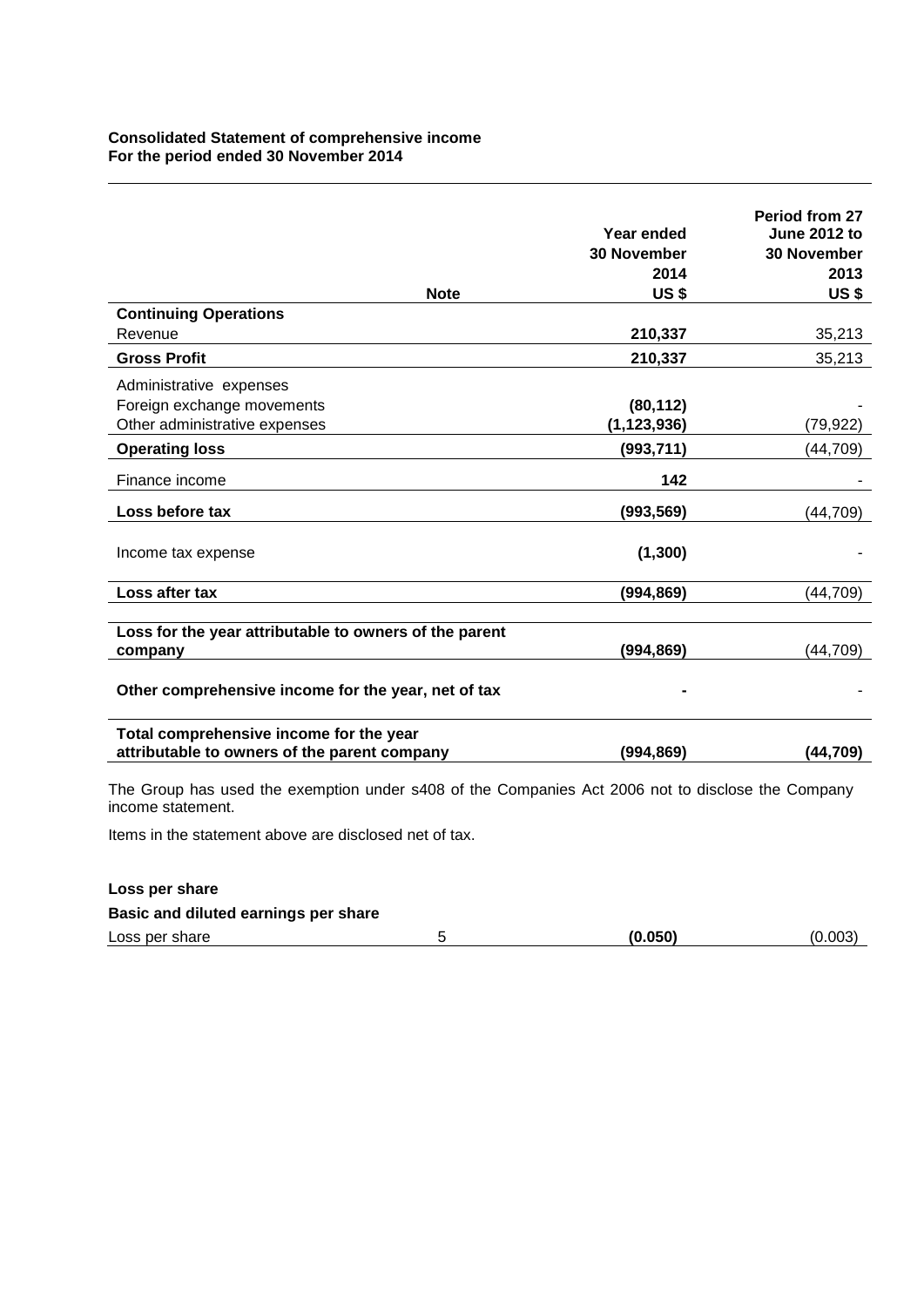# **Consolidated Statement of comprehensive income For the period ended 30 November 2014**

| <b>Note</b>                                                                                                                                                                                             | Year ended<br><b>30 November</b><br>2014<br><b>US\$</b> | Period from 27<br><b>June 2012 to</b><br><b>30 November</b><br>2013<br><b>US\$</b> |
|---------------------------------------------------------------------------------------------------------------------------------------------------------------------------------------------------------|---------------------------------------------------------|------------------------------------------------------------------------------------|
| <b>Continuing Operations</b>                                                                                                                                                                            |                                                         |                                                                                    |
| Revenue                                                                                                                                                                                                 | 210,337                                                 | 35,213                                                                             |
| <b>Gross Profit</b>                                                                                                                                                                                     | 210,337                                                 | 35,213                                                                             |
| Administrative expenses                                                                                                                                                                                 |                                                         |                                                                                    |
| Foreign exchange movements                                                                                                                                                                              | (80, 112)                                               |                                                                                    |
| Other administrative expenses                                                                                                                                                                           | (1, 123, 936)                                           | (79,922)                                                                           |
| <b>Operating loss</b>                                                                                                                                                                                   | (993, 711)                                              | (44, 709)                                                                          |
| Finance income                                                                                                                                                                                          | 142                                                     |                                                                                    |
| Loss before tax                                                                                                                                                                                         | (993, 569)                                              | (44,709)                                                                           |
| Income tax expense                                                                                                                                                                                      | (1, 300)                                                |                                                                                    |
| Loss after tax                                                                                                                                                                                          | (994, 869)                                              | (44, 709)                                                                          |
|                                                                                                                                                                                                         |                                                         |                                                                                    |
| Loss for the year attributable to owners of the parent<br>company                                                                                                                                       | (994, 869)                                              | (44, 709)                                                                          |
| Other comprehensive income for the year, net of tax                                                                                                                                                     |                                                         |                                                                                    |
| Total comprehensive income for the year<br>attributable to owners of the parent company                                                                                                                 | (994, 869)                                              | (44, 709)                                                                          |
| The Group has used the exemption under s408 of the Companies Act 2006 not to disclose the Company<br>income statement.<br>والرائد المتحر المتحام والمتوالي ومحمد ومردود والمراقب ومحمد ومحافظ والمتحالة |                                                         |                                                                                    |

Items in the statement above are disclosed net of tax.

| Loss per share                       |         |         |
|--------------------------------------|---------|---------|
| Basic and diluted earnings per share |         |         |
| Loss per share                       | (0.050) | (0.003) |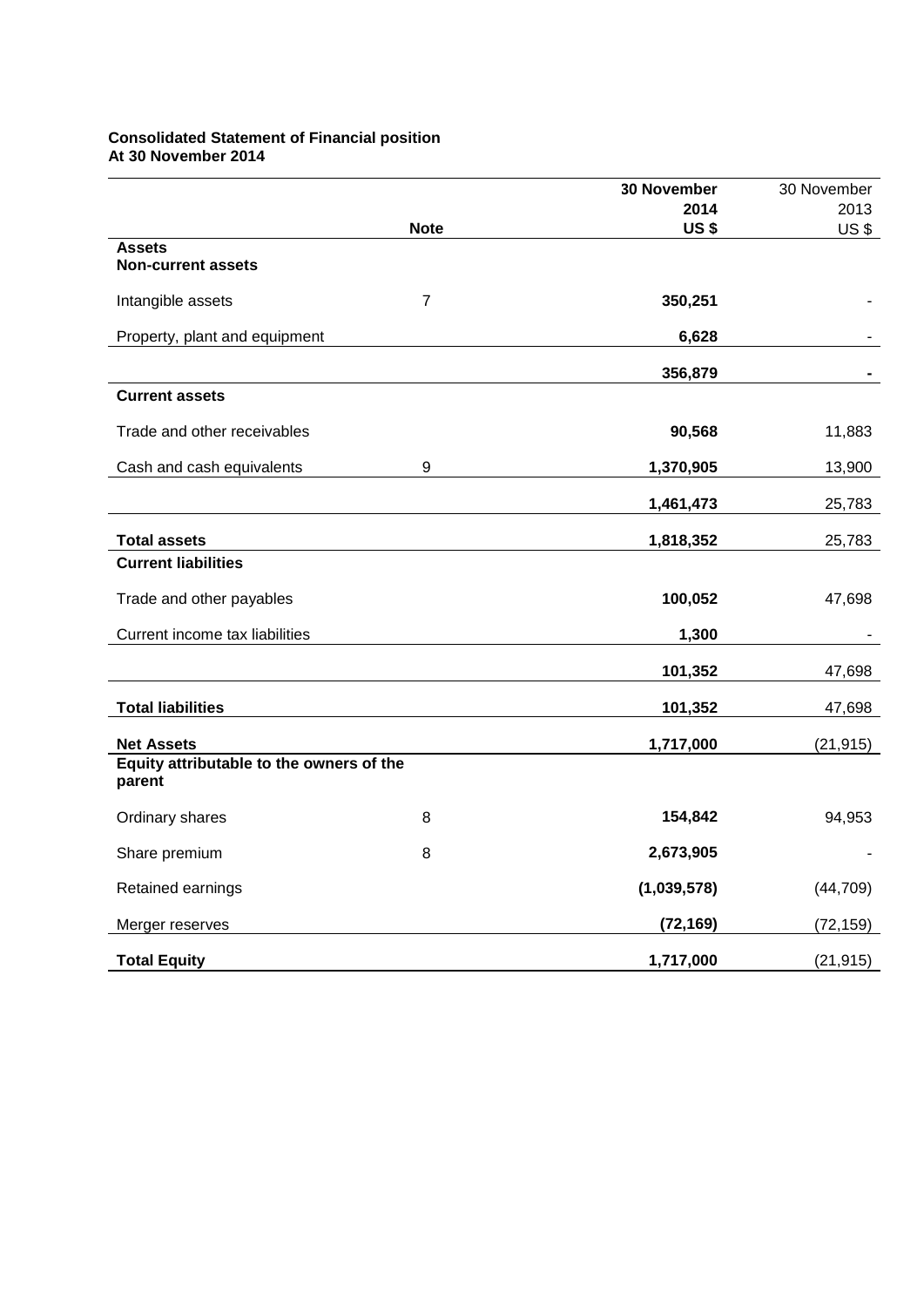# **Consolidated Statement of Financial position At 30 November 2014**

|                                                    |                | 30 November | 30 November |
|----------------------------------------------------|----------------|-------------|-------------|
|                                                    |                | 2014        | 2013        |
|                                                    | <b>Note</b>    | <b>US\$</b> | US\$        |
| <b>Assets</b><br><b>Non-current assets</b>         |                |             |             |
| Intangible assets                                  | $\overline{7}$ | 350,251     |             |
| Property, plant and equipment                      |                | 6,628       |             |
|                                                    |                | 356,879     |             |
| <b>Current assets</b>                              |                |             |             |
| Trade and other receivables                        |                | 90,568      | 11,883      |
| Cash and cash equivalents                          | 9              | 1,370,905   | 13,900      |
|                                                    |                | 1,461,473   | 25,783      |
| <b>Total assets</b>                                |                | 1,818,352   | 25,783      |
| <b>Current liabilities</b>                         |                |             |             |
| Trade and other payables                           |                | 100,052     | 47,698      |
| Current income tax liabilities                     |                | 1,300       |             |
|                                                    |                | 101,352     | 47,698      |
| <b>Total liabilities</b>                           |                | 101,352     | 47,698      |
| <b>Net Assets</b>                                  |                | 1,717,000   | (21, 915)   |
| Equity attributable to the owners of the<br>parent |                |             |             |
| Ordinary shares                                    | 8              | 154,842     | 94,953      |
| Share premium                                      | 8              | 2,673,905   |             |
| Retained earnings                                  |                | (1,039,578) | (44, 709)   |
| Merger reserves                                    |                | (72, 169)   | (72, 159)   |
| <b>Total Equity</b>                                |                | 1,717,000   | (21, 915)   |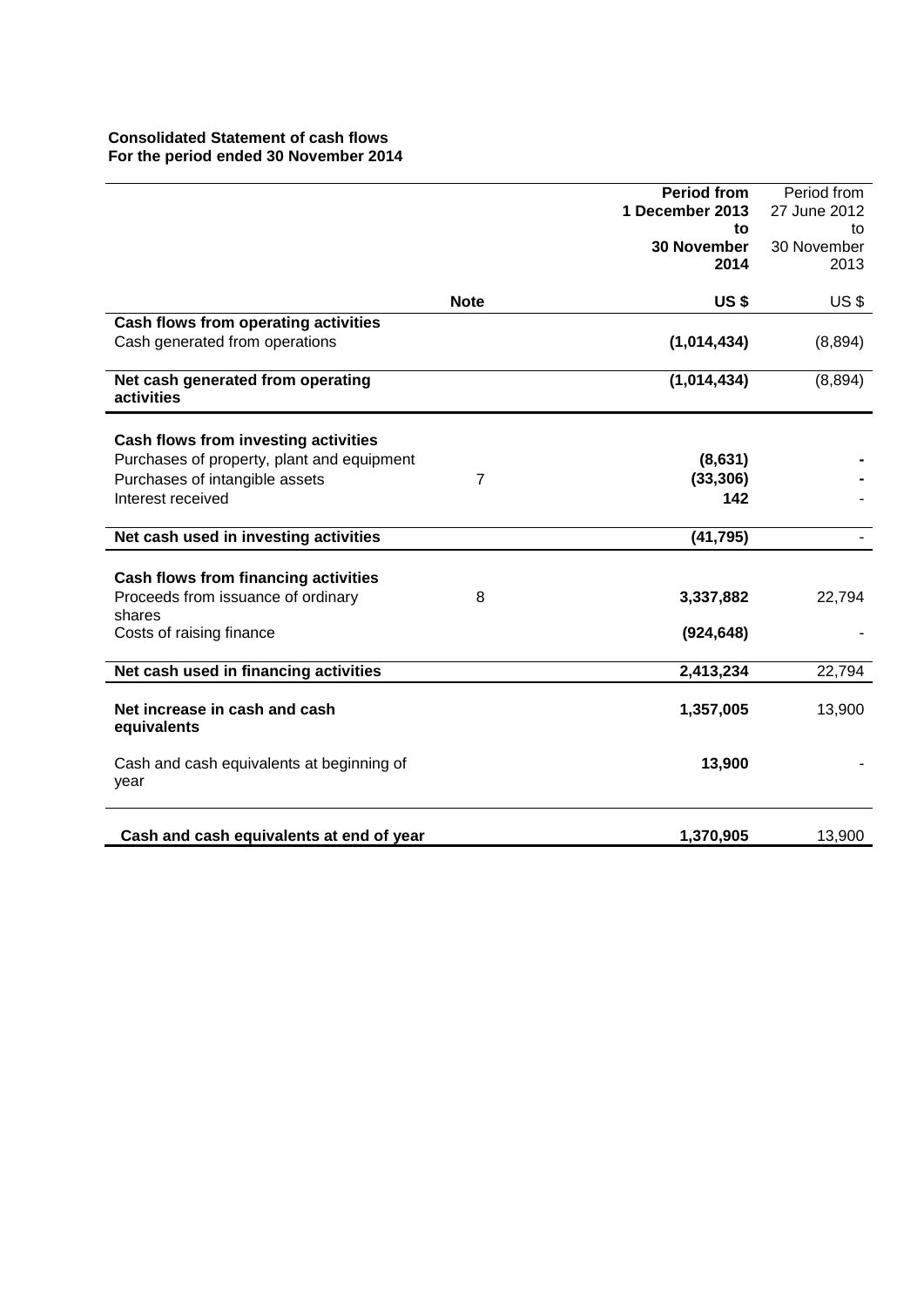# **Consolidated Statement of cash flows For the period ended 30 November 2014**

|                                             |                | <b>Period from</b> | Period from  |
|---------------------------------------------|----------------|--------------------|--------------|
|                                             |                | 1 December 2013    | 27 June 2012 |
|                                             |                | to                 | to           |
|                                             |                | <b>30 November</b> | 30 November  |
|                                             |                | 2014               | 2013         |
|                                             |                |                    |              |
|                                             | <b>Note</b>    | <b>US\$</b>        | US\$         |
| Cash flows from operating activities        |                |                    |              |
| Cash generated from operations              |                | (1,014,434)        | (8,894)      |
|                                             |                |                    |              |
| Net cash generated from operating           |                | (1,014,434)        | (8,894)      |
| activities                                  |                |                    |              |
|                                             |                |                    |              |
| <b>Cash flows from investing activities</b> |                |                    |              |
| Purchases of property, plant and equipment  |                | (8,631)            |              |
| Purchases of intangible assets              | $\overline{7}$ | (33, 306)          |              |
| Interest received                           |                | 142                |              |
|                                             |                |                    |              |
| Net cash used in investing activities       |                | (41, 795)          |              |
|                                             |                |                    |              |
| <b>Cash flows from financing activities</b> |                |                    |              |
| Proceeds from issuance of ordinary          | 8              | 3,337,882          | 22,794       |
| shares                                      |                |                    |              |
| Costs of raising finance                    |                | (924, 648)         |              |
|                                             |                |                    |              |
| Net cash used in financing activities       |                | 2,413,234          | 22,794       |
|                                             |                |                    |              |
| Net increase in cash and cash               |                | 1,357,005          | 13,900       |
| equivalents                                 |                |                    |              |
| Cash and cash equivalents at beginning of   |                | 13,900             |              |
| year                                        |                |                    |              |
|                                             |                |                    |              |
|                                             |                |                    |              |
| Cash and cash equivalents at end of year    |                | 1,370,905          | 13,900       |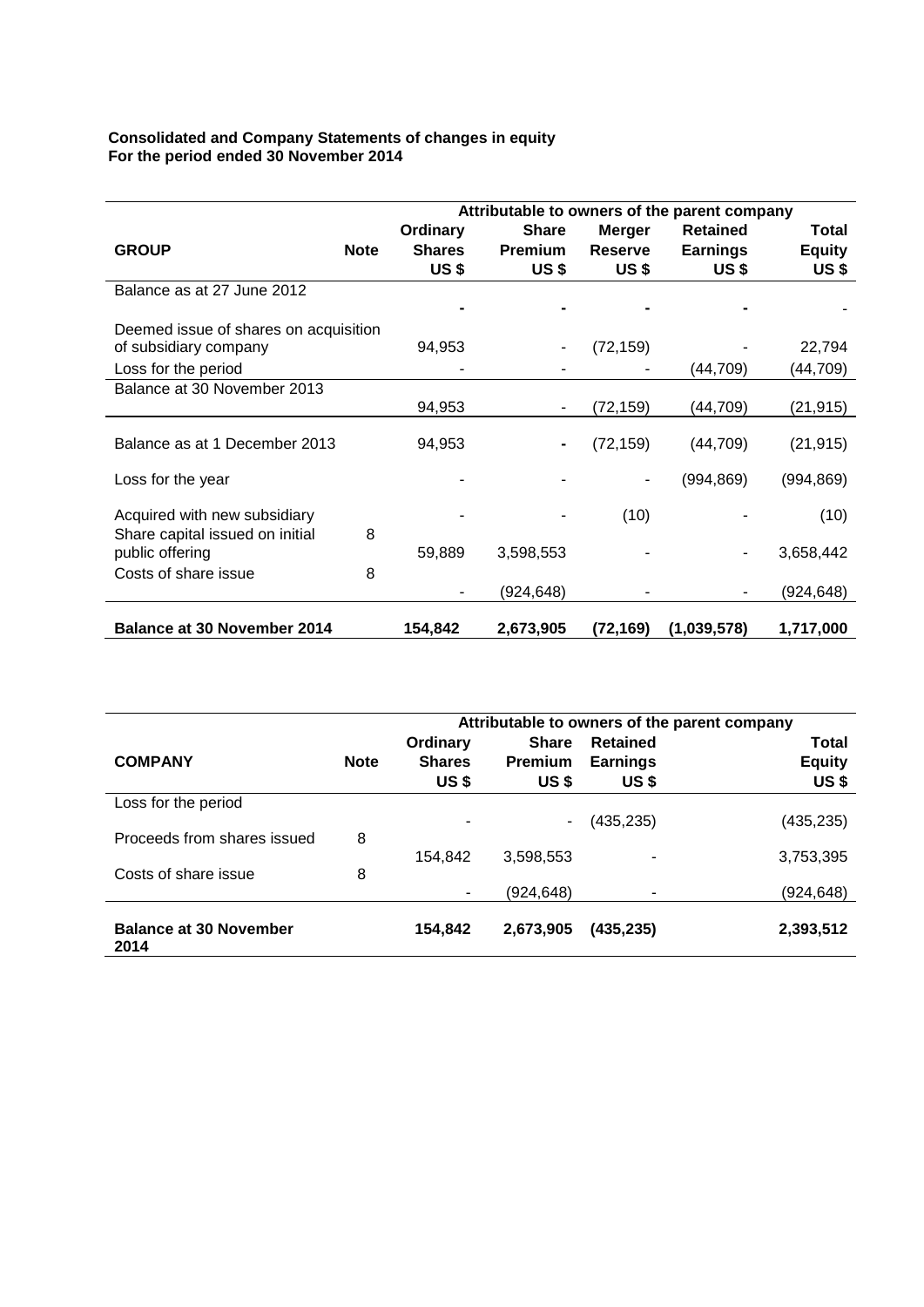## **Consolidated and Company Statements of changes in equity For the period ended 30 November 2014**

|                                       |             | Attributable to owners of the parent company |                |                |                 |               |
|---------------------------------------|-------------|----------------------------------------------|----------------|----------------|-----------------|---------------|
|                                       |             | Ordinary                                     | <b>Share</b>   | <b>Merger</b>  | <b>Retained</b> | Total         |
| <b>GROUP</b>                          | <b>Note</b> | <b>Shares</b>                                | <b>Premium</b> | <b>Reserve</b> | <b>Earnings</b> | <b>Equity</b> |
|                                       |             | US\$                                         | <b>US \$</b>   | <b>US \$</b>   | US\$            | US\$          |
| Balance as at 27 June 2012            |             |                                              |                |                |                 |               |
|                                       |             |                                              |                |                |                 |               |
| Deemed issue of shares on acquisition |             |                                              |                |                |                 |               |
| of subsidiary company                 |             | 94,953                                       |                | (72, 159)      |                 | 22,794        |
| Loss for the period                   |             |                                              |                |                | (44,709)        | (44,709)      |
| Balance at 30 November 2013           |             |                                              |                |                |                 |               |
|                                       |             | 94,953                                       |                | (72, 159)      | (44,709)        | (21, 915)     |
| Balance as at 1 December 2013         |             | 94,953                                       |                | (72, 159)      | (44, 709)       | (21, 915)     |
|                                       |             |                                              |                |                |                 |               |
| Loss for the year                     |             |                                              |                |                | (994, 869)      | (994, 869)    |
| Acquired with new subsidiary          |             |                                              |                | (10)           |                 | (10)          |
| Share capital issued on initial       | 8           |                                              |                |                |                 |               |
| public offering                       |             | 59,889                                       | 3,598,553      |                |                 | 3,658,442     |
| Costs of share issue                  | 8           |                                              |                |                |                 |               |
|                                       |             |                                              | (924,648)      |                |                 | (924,648)     |
| <b>Balance at 30 November 2014</b>    |             | 154,842                                      | 2,673,905      | (72, 169)      | (1,039,578)     | 1,717,000     |

|                                       |             | Attributable to owners of the parent company |                |                 |               |
|---------------------------------------|-------------|----------------------------------------------|----------------|-----------------|---------------|
|                                       |             | Ordinary                                     | <b>Share</b>   | <b>Retained</b> | <b>Total</b>  |
| <b>COMPANY</b>                        | <b>Note</b> | <b>Shares</b>                                | <b>Premium</b> | <b>Earnings</b> | <b>Equity</b> |
|                                       |             | <b>US\$</b>                                  | <b>US\$</b>    | <b>US\$</b>     | <b>US\$</b>   |
| Loss for the period                   |             |                                              |                |                 |               |
|                                       |             |                                              | ۰              | (435,235)       | (435, 235)    |
| Proceeds from shares issued           | 8           |                                              |                |                 |               |
|                                       |             | 154.842                                      | 3.598.553      |                 | 3,753,395     |
| Costs of share issue                  | 8           |                                              |                |                 |               |
|                                       |             | ۰                                            | (924,648)      |                 | (924,648)     |
| <b>Balance at 30 November</b><br>2014 |             | 154,842                                      | 2,673,905      | (435, 235)      | 2,393,512     |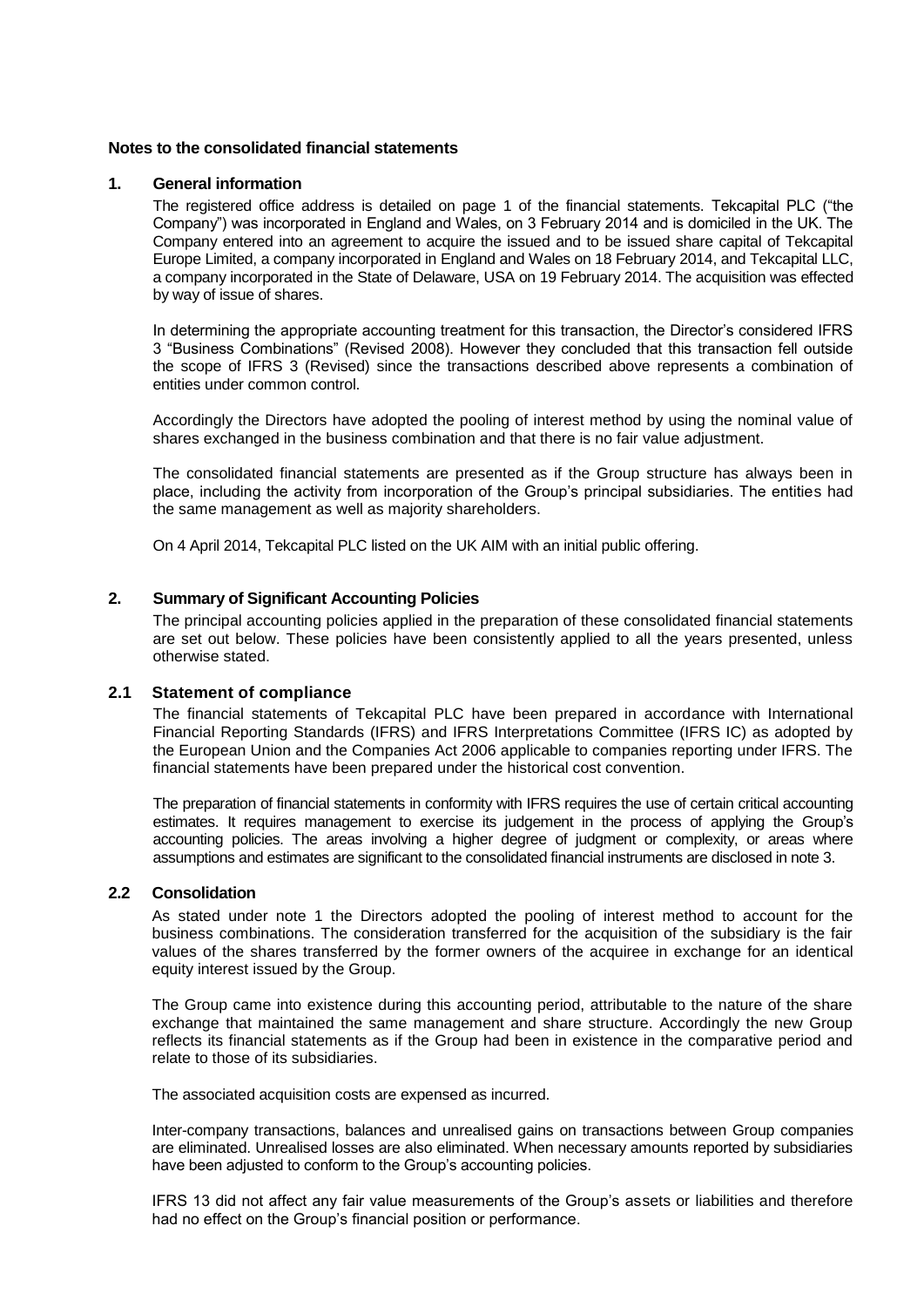### **Notes to the consolidated financial statements**

### **1. General information**

The registered office address is detailed on page 1 of the financial statements. Tekcapital PLC ("the Company") was incorporated in England and Wales, on 3 February 2014 and is domiciled in the UK. The Company entered into an agreement to acquire the issued and to be issued share capital of Tekcapital Europe Limited, a company incorporated in England and Wales on 18 February 2014, and Tekcapital LLC, a company incorporated in the State of Delaware, USA on 19 February 2014. The acquisition was effected by way of issue of shares.

In determining the appropriate accounting treatment for this transaction, the Director's considered IFRS 3 "Business Combinations" (Revised 2008). However they concluded that this transaction fell outside the scope of IFRS 3 (Revised) since the transactions described above represents a combination of entities under common control.

Accordingly the Directors have adopted the pooling of interest method by using the nominal value of shares exchanged in the business combination and that there is no fair value adjustment.

The consolidated financial statements are presented as if the Group structure has always been in place, including the activity from incorporation of the Group's principal subsidiaries. The entities had the same management as well as majority shareholders.

On 4 April 2014, Tekcapital PLC listed on the UK AIM with an initial public offering.

### **2. Summary of Significant Accounting Policies**

The principal accounting policies applied in the preparation of these consolidated financial statements are set out below. These policies have been consistently applied to all the years presented, unless otherwise stated.

### **2.1 Statement of compliance**

The financial statements of Tekcapital PLC have been prepared in accordance with International Financial Reporting Standards (IFRS) and IFRS Interpretations Committee (IFRS IC) as adopted by the European Union and the Companies Act 2006 applicable to companies reporting under IFRS. The financial statements have been prepared under the historical cost convention.

The preparation of financial statements in conformity with IFRS requires the use of certain critical accounting estimates. It requires management to exercise its judgement in the process of applying the Group's accounting policies. The areas involving a higher degree of judgment or complexity, or areas where assumptions and estimates are significant to the consolidated financial instruments are disclosed in note 3.

### **2.2 Consolidation**

As stated under note 1 the Directors adopted the pooling of interest method to account for the business combinations. The consideration transferred for the acquisition of the subsidiary is the fair values of the shares transferred by the former owners of the acquiree in exchange for an identical equity interest issued by the Group.

The Group came into existence during this accounting period, attributable to the nature of the share exchange that maintained the same management and share structure. Accordingly the new Group reflects its financial statements as if the Group had been in existence in the comparative period and relate to those of its subsidiaries.

The associated acquisition costs are expensed as incurred.

Inter-company transactions, balances and unrealised gains on transactions between Group companies are eliminated. Unrealised losses are also eliminated. When necessary amounts reported by subsidiaries have been adjusted to conform to the Group's accounting policies.

IFRS 13 did not affect any fair value measurements of the Group's assets or liabilities and therefore had no effect on the Group's financial position or performance.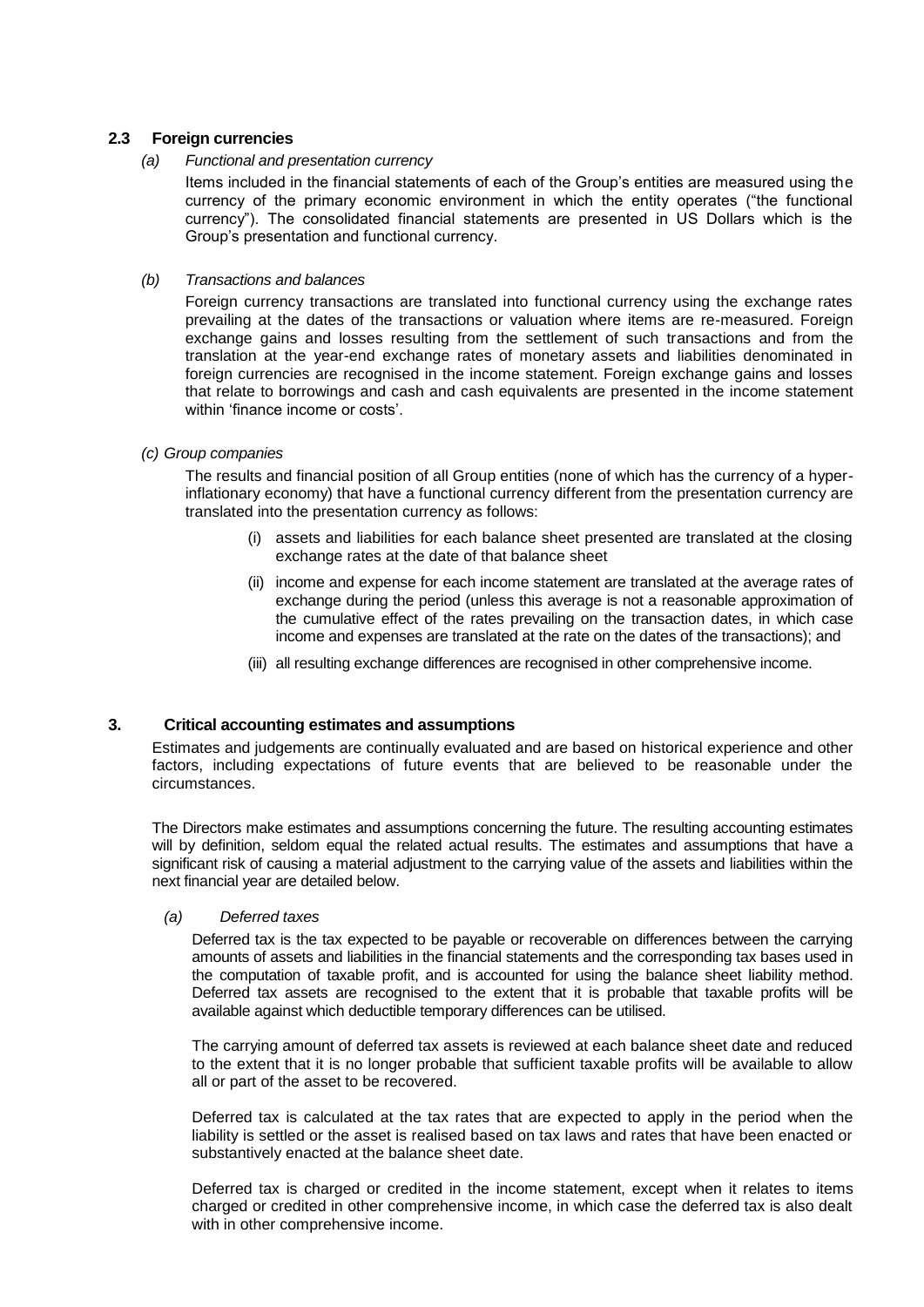# **2.3 Foreign currencies**

### *(a) Functional and presentation currency*

Items included in the financial statements of each of the Group's entities are measured using the currency of the primary economic environment in which the entity operates ("the functional currency"). The consolidated financial statements are presented in US Dollars which is the Group's presentation and functional currency.

### *(b) Transactions and balances*

Foreign currency transactions are translated into functional currency using the exchange rates prevailing at the dates of the transactions or valuation where items are re-measured. Foreign exchange gains and losses resulting from the settlement of such transactions and from the translation at the year-end exchange rates of monetary assets and liabilities denominated in foreign currencies are recognised in the income statement. Foreign exchange gains and losses that relate to borrowings and cash and cash equivalents are presented in the income statement within 'finance income or costs'.

### *(c) Group companies*

The results and financial position of all Group entities (none of which has the currency of a hyperinflationary economy) that have a functional currency different from the presentation currency are translated into the presentation currency as follows:

- (i) assets and liabilities for each balance sheet presented are translated at the closing exchange rates at the date of that balance sheet
- (ii) income and expense for each income statement are translated at the average rates of exchange during the period (unless this average is not a reasonable approximation of the cumulative effect of the rates prevailing on the transaction dates, in which case income and expenses are translated at the rate on the dates of the transactions); and
- (iii) all resulting exchange differences are recognised in other comprehensive income.

# **3. Critical accounting estimates and assumptions**

Estimates and judgements are continually evaluated and are based on historical experience and other factors, including expectations of future events that are believed to be reasonable under the circumstances.

The Directors make estimates and assumptions concerning the future. The resulting accounting estimates will by definition, seldom equal the related actual results. The estimates and assumptions that have a significant risk of causing a material adjustment to the carrying value of the assets and liabilities within the next financial year are detailed below.

### *(a) Deferred taxes*

Deferred tax is the tax expected to be payable or recoverable on differences between the carrying amounts of assets and liabilities in the financial statements and the corresponding tax bases used in the computation of taxable profit, and is accounted for using the balance sheet liability method. Deferred tax assets are recognised to the extent that it is probable that taxable profits will be available against which deductible temporary differences can be utilised.

The carrying amount of deferred tax assets is reviewed at each balance sheet date and reduced to the extent that it is no longer probable that sufficient taxable profits will be available to allow all or part of the asset to be recovered.

Deferred tax is calculated at the tax rates that are expected to apply in the period when the liability is settled or the asset is realised based on tax laws and rates that have been enacted or substantively enacted at the balance sheet date.

Deferred tax is charged or credited in the income statement, except when it relates to items charged or credited in other comprehensive income, in which case the deferred tax is also dealt with in other comprehensive income.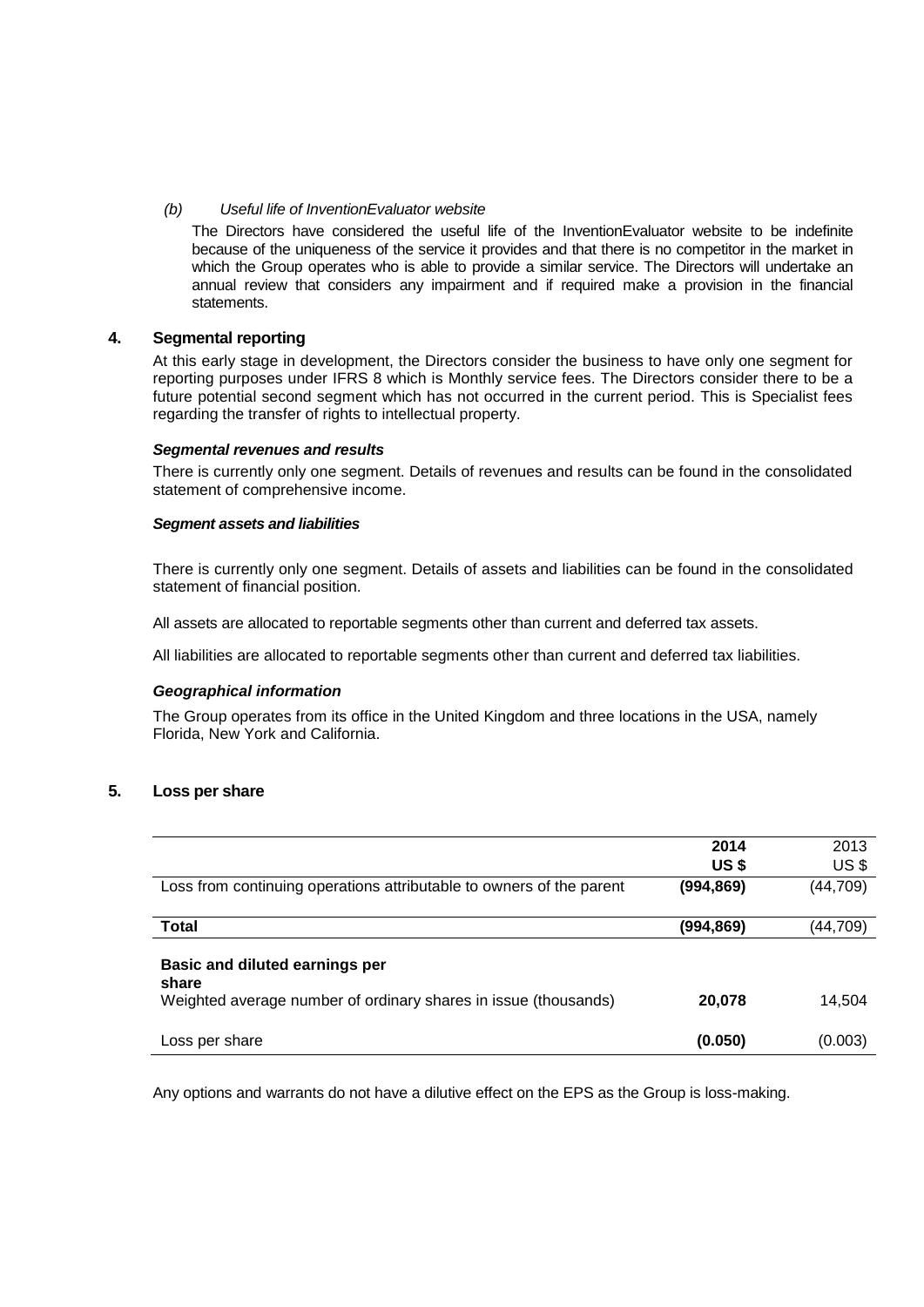## *(b) Useful life of InventionEvaluator website*

The Directors have considered the useful life of the InventionEvaluator website to be indefinite because of the uniqueness of the service it provides and that there is no competitor in the market in which the Group operates who is able to provide a similar service. The Directors will undertake an annual review that considers any impairment and if required make a provision in the financial statements.

## **4. Segmental reporting**

At this early stage in development, the Directors consider the business to have only one segment for reporting purposes under IFRS 8 which is Monthly service fees. The Directors consider there to be a future potential second segment which has not occurred in the current period. This is Specialist fees regarding the transfer of rights to intellectual property.

#### *Segmental revenues and results*

There is currently only one segment. Details of revenues and results can be found in the consolidated statement of comprehensive income.

#### *Segment assets and liabilities*

There is currently only one segment. Details of assets and liabilities can be found in the consolidated statement of financial position.

All assets are allocated to reportable segments other than current and deferred tax assets.

All liabilities are allocated to reportable segments other than current and deferred tax liabilities.

### *Geographical information*

The Group operates from its office in the United Kingdom and three locations in the USA, namely Florida, New York and California.

# **5. Loss per share**

|                                                                                                            | 2014        | 2013            |
|------------------------------------------------------------------------------------------------------------|-------------|-----------------|
|                                                                                                            | <b>US\$</b> | US <sub>3</sub> |
| Loss from continuing operations attributable to owners of the parent                                       | (994,869)   | (44, 709)       |
| <b>Total</b>                                                                                               | (994,869)   | (44,709)        |
| Basic and diluted earnings per<br>share<br>Weighted average number of ordinary shares in issue (thousands) | 20,078      | 14,504          |
| Loss per share                                                                                             | (0.050)     | (0.003)         |

Any options and warrants do not have a dilutive effect on the EPS as the Group is loss-making.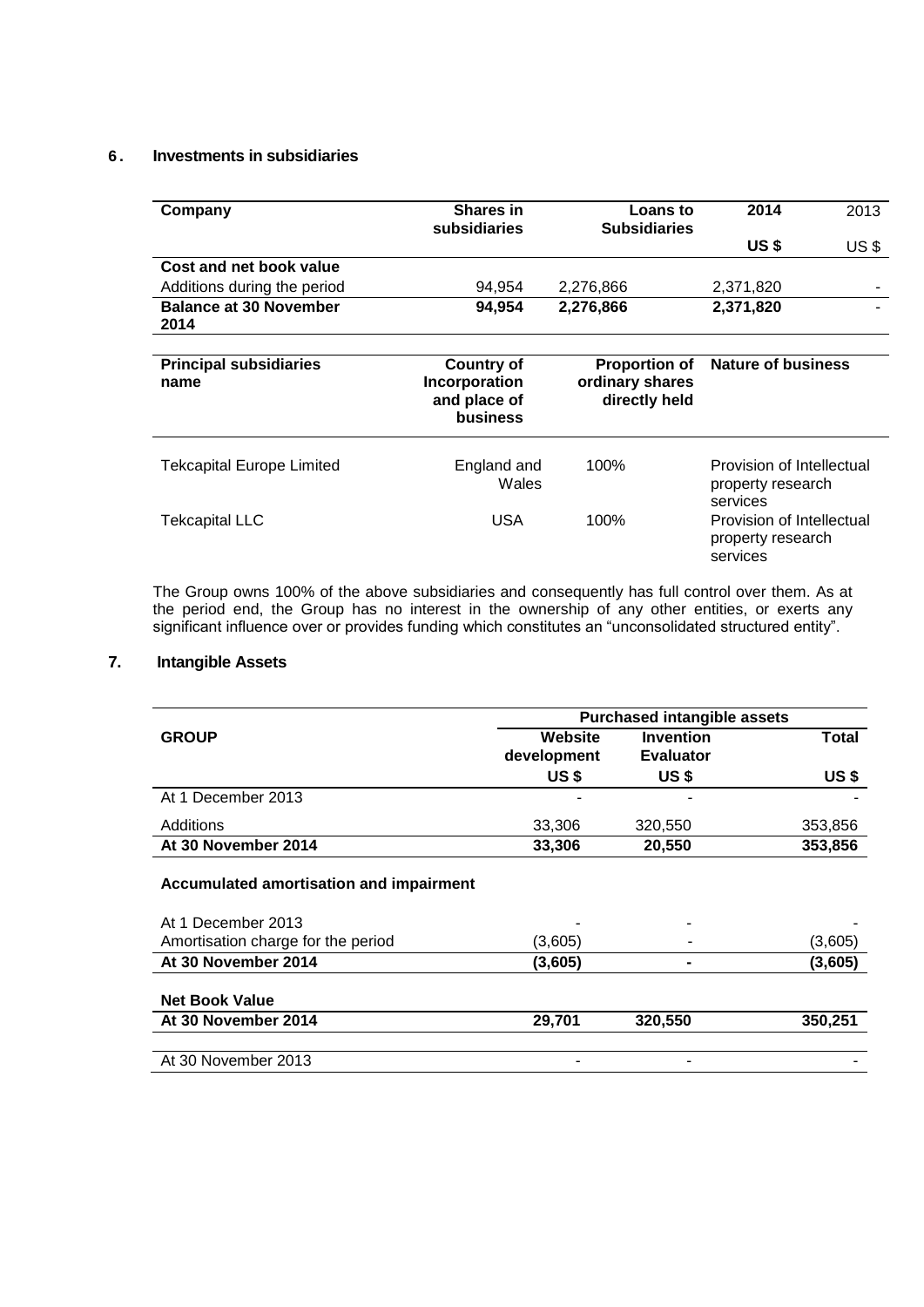# **6 . Investments in subsidiaries**

| Company                               | <b>Shares in</b><br>subsidiaries                               | <b>Loans</b> to<br><b>Subsidiaries</b>                   | 2014                                                       | 2013  |
|---------------------------------------|----------------------------------------------------------------|----------------------------------------------------------|------------------------------------------------------------|-------|
|                                       |                                                                |                                                          | US \$                                                      | US \$ |
| Cost and net book value               |                                                                |                                                          |                                                            |       |
| Additions during the period           | 94,954                                                         | 2,276,866                                                | 2,371,820                                                  |       |
| <b>Balance at 30 November</b><br>2014 | 94.954                                                         | 2,276,866                                                | 2,371,820                                                  |       |
|                                       |                                                                |                                                          |                                                            |       |
| <b>Principal subsidiaries</b><br>name | <b>Country of</b><br>Incorporation<br>and place of<br>business | <b>Proportion of</b><br>ordinary shares<br>directly held | <b>Nature of business</b>                                  |       |
| <b>Tekcapital Europe Limited</b>      | England and<br>Wales                                           | 100%                                                     | Provision of Intellectual<br>property research<br>services |       |
| <b>Tekcapital LLC</b>                 | <b>USA</b>                                                     | 100%                                                     | Provision of Intellectual<br>property research<br>services |       |

The Group owns 100% of the above subsidiaries and consequently has full control over them. As at the period end, the Group has no interest in the ownership of any other entities, or exerts any significant influence over or provides funding which constitutes an "unconsolidated structured entity".

# **7. Intangible Assets**

|                                         | <b>Purchased intangible assets</b> |                  |              |  |
|-----------------------------------------|------------------------------------|------------------|--------------|--|
| <b>GROUP</b>                            | Website                            | <b>Invention</b> | <b>Total</b> |  |
|                                         | development                        | <b>Evaluator</b> |              |  |
|                                         | US \$                              | <b>US\$</b>      | <b>US\$</b>  |  |
| At 1 December 2013                      | ۰                                  |                  |              |  |
| Additions                               | 33,306                             | 320,550          | 353,856      |  |
| At 30 November 2014                     | 33,306                             | 20,550           | 353,856      |  |
| Accumulated amortisation and impairment |                                    |                  |              |  |
| At 1 December 2013                      |                                    |                  |              |  |
| Amortisation charge for the period      | (3,605)                            |                  | (3,605)      |  |
| At 30 November 2014                     | (3,605)                            |                  | (3,605)      |  |
| <b>Net Book Value</b>                   |                                    |                  |              |  |
| At 30 November 2014                     | 29,701                             | 320,550          | 350,251      |  |
| At 30 November 2013                     |                                    |                  |              |  |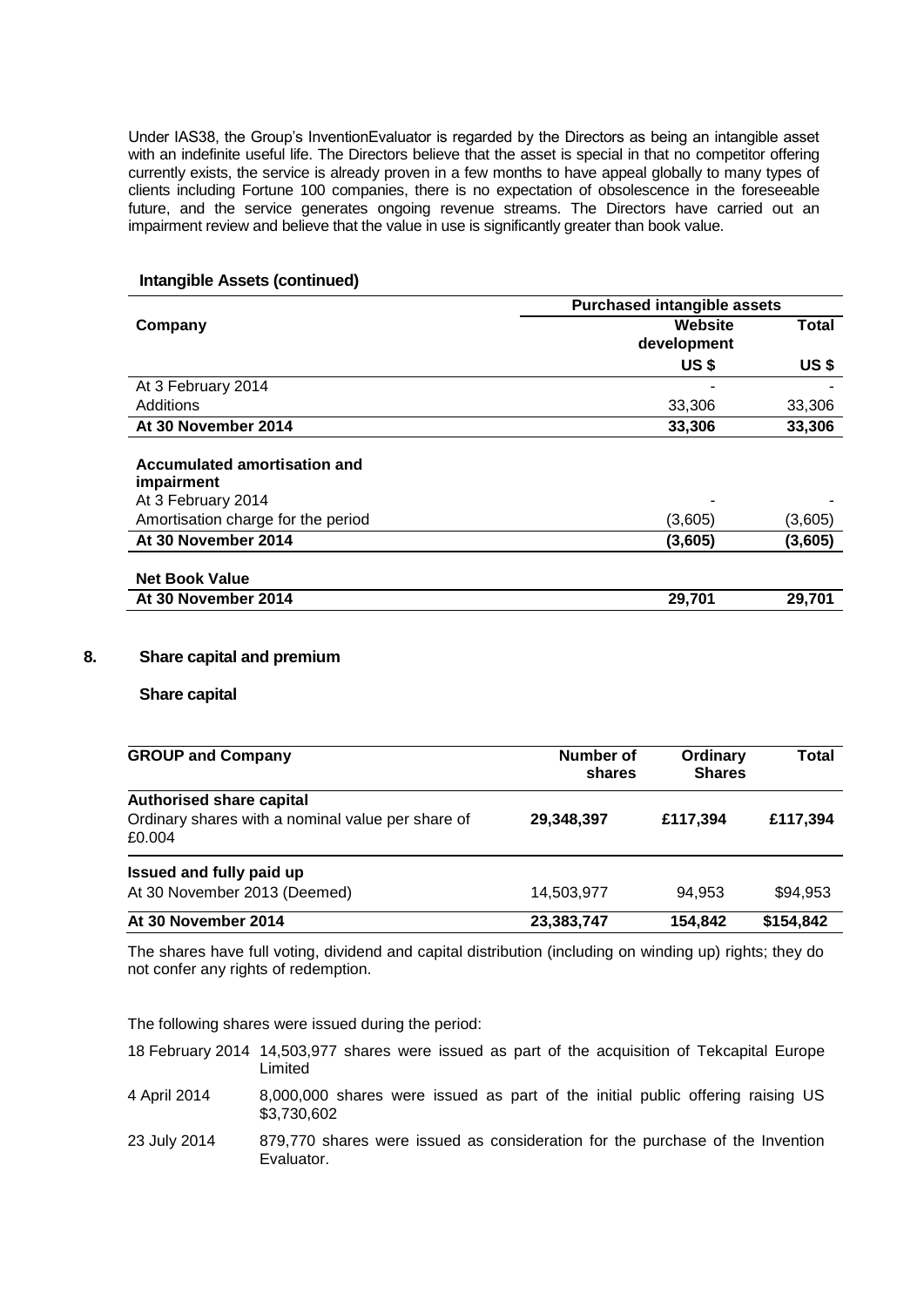Under IAS38, the Group's InventionEvaluator is regarded by the Directors as being an intangible asset with an indefinite useful life. The Directors believe that the asset is special in that no competitor offering currently exists, the service is already proven in a few months to have appeal globally to many types of clients including Fortune 100 companies, there is no expectation of obsolescence in the foreseeable future, and the service generates ongoing revenue streams. The Directors have carried out an impairment review and believe that the value in use is significantly greater than book value.

#### **Intangible Assets (continued)**

|                                                                  | <b>Purchased intangible assets</b> |              |  |
|------------------------------------------------------------------|------------------------------------|--------------|--|
| Company                                                          | Website<br>development             | Total        |  |
|                                                                  | <b>US\$</b>                        | <b>US \$</b> |  |
| At 3 February 2014                                               |                                    |              |  |
| Additions                                                        | 33,306                             | 33,306       |  |
| At 30 November 2014                                              | 33,306                             | 33,306       |  |
| Accumulated amortisation and<br>impairment<br>At 3 February 2014 |                                    |              |  |
| Amortisation charge for the period                               | (3,605)                            | (3,605)      |  |
| At 30 November 2014                                              | (3,605)                            | (3,605)      |  |
| <b>Net Book Value</b>                                            |                                    |              |  |
| At 30 November 2014                                              | 29,701                             | 29,701       |  |

### **8. Share capital and premium**

#### **Share capital**

| <b>GROUP and Company</b>                                    | Number of<br>shares | Ordinary<br><b>Shares</b> | Total     |  |
|-------------------------------------------------------------|---------------------|---------------------------|-----------|--|
| <b>Authorised share capital</b>                             |                     |                           |           |  |
| Ordinary shares with a nominal value per share of<br>£0.004 | 29,348,397          | £117,394                  | £117,394  |  |
| Issued and fully paid up                                    |                     |                           |           |  |
| At 30 November 2013 (Deemed)                                | 14,503,977          | 94.953                    | \$94,953  |  |
| At 30 November 2014                                         | 23,383,747          | 154,842                   | \$154,842 |  |

The shares have full voting, dividend and capital distribution (including on winding up) rights; they do not confer any rights of redemption.

The following shares were issued during the period:

| 18 February 2014 14,503,977 shares were issued as part of the acquisition of Tekcapital Europe |         |  |  |  |  |  |  |
|------------------------------------------------------------------------------------------------|---------|--|--|--|--|--|--|
|                                                                                                | ∟imited |  |  |  |  |  |  |

- 4 April 2014 8,000,000 shares were issued as part of the initial public offering raising US \$3,730,602
- 23 July 2014 879,770 shares were issued as consideration for the purchase of the Invention Evaluator.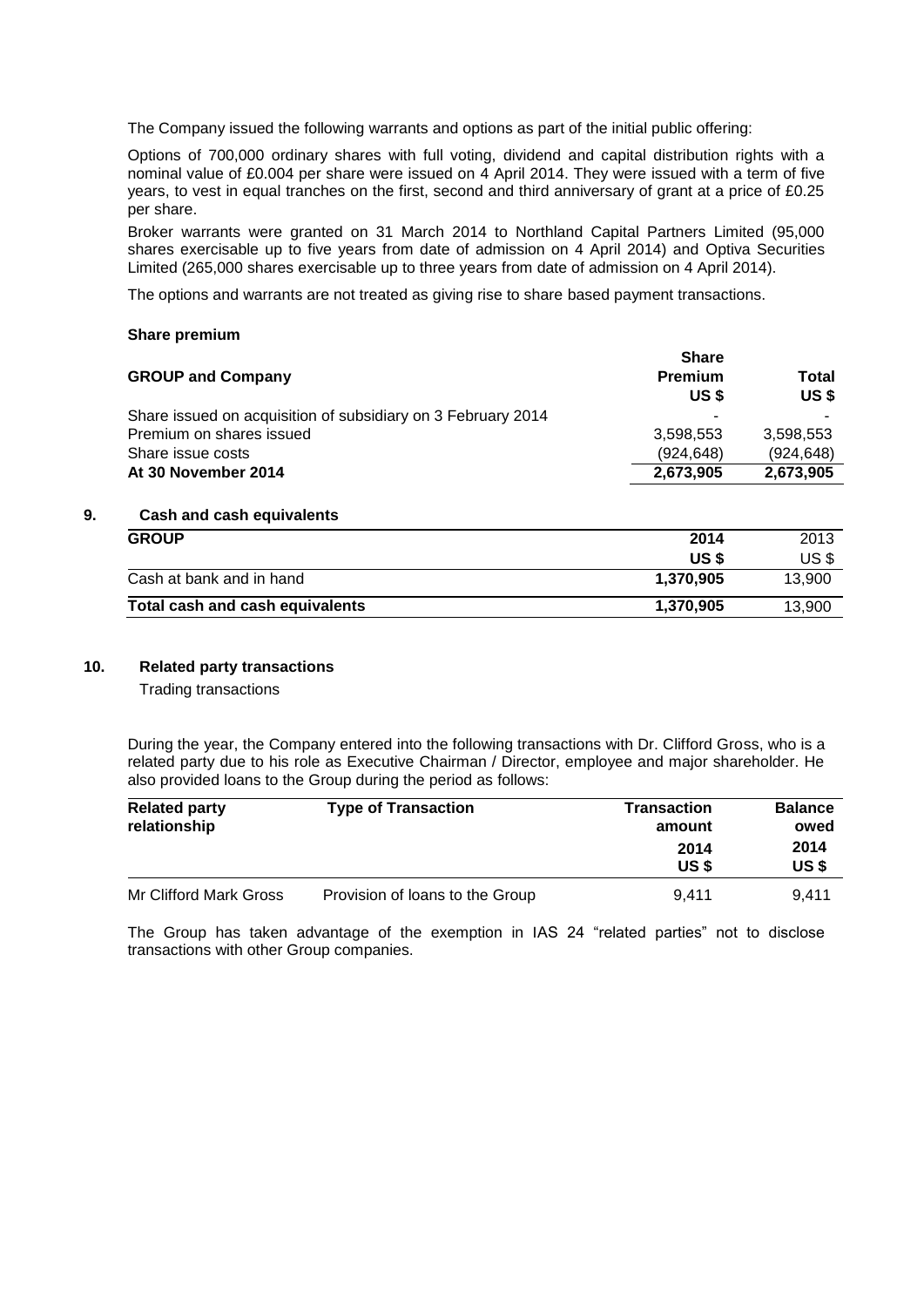The Company issued the following warrants and options as part of the initial public offering:

Options of 700,000 ordinary shares with full voting, dividend and capital distribution rights with a nominal value of £0.004 per share were issued on 4 April 2014. They were issued with a term of five years, to vest in equal tranches on the first, second and third anniversary of grant at a price of £0.25 per share.

Broker warrants were granted on 31 March 2014 to Northland Capital Partners Limited (95,000 shares exercisable up to five years from date of admission on 4 April 2014) and Optiva Securities Limited (265,000 shares exercisable up to three years from date of admission on 4 April 2014).

The options and warrants are not treated as giving rise to share based payment transactions.

#### **Share premium**

| <b>GROUP and Company</b>                                     | <b>Share</b><br><b>Premium</b><br>US \$ | Total<br>US \$ |
|--------------------------------------------------------------|-----------------------------------------|----------------|
| Share issued on acquisition of subsidiary on 3 February 2014 |                                         |                |
| Premium on shares issued                                     | 3.598.553                               | 3,598,553      |
| Share issue costs                                            | (924.648)                               | (924.648)      |
| At 30 November 2014                                          | 2,673,905                               | 2,673,905      |

# **9. Cash and cash equivalents**

| <b>GROUP</b>                    | 2014      | 2013   |
|---------------------------------|-----------|--------|
|                                 | US \$     | US \$  |
| Cash at bank and in hand        | 1,370,905 | 13.900 |
| Total cash and cash equivalents | 1,370,905 | 13,900 |

### **10. Related party transactions**

Trading transactions

During the year, the Company entered into the following transactions with Dr. Clifford Gross, who is a related party due to his role as Executive Chairman / Director, employee and major shareholder. He also provided loans to the Group during the period as follows:

| <b>Related party</b><br>relationship | <b>Type of Transaction</b>      | <b>Transaction</b><br>amount | <b>Balance</b><br>owed |
|--------------------------------------|---------------------------------|------------------------------|------------------------|
|                                      |                                 | 2014<br>US \$                | 2014<br>US \$          |
| Mr Clifford Mark Gross               | Provision of loans to the Group | 9.411                        | 9.411                  |

The Group has taken advantage of the exemption in IAS 24 "related parties" not to disclose transactions with other Group companies.